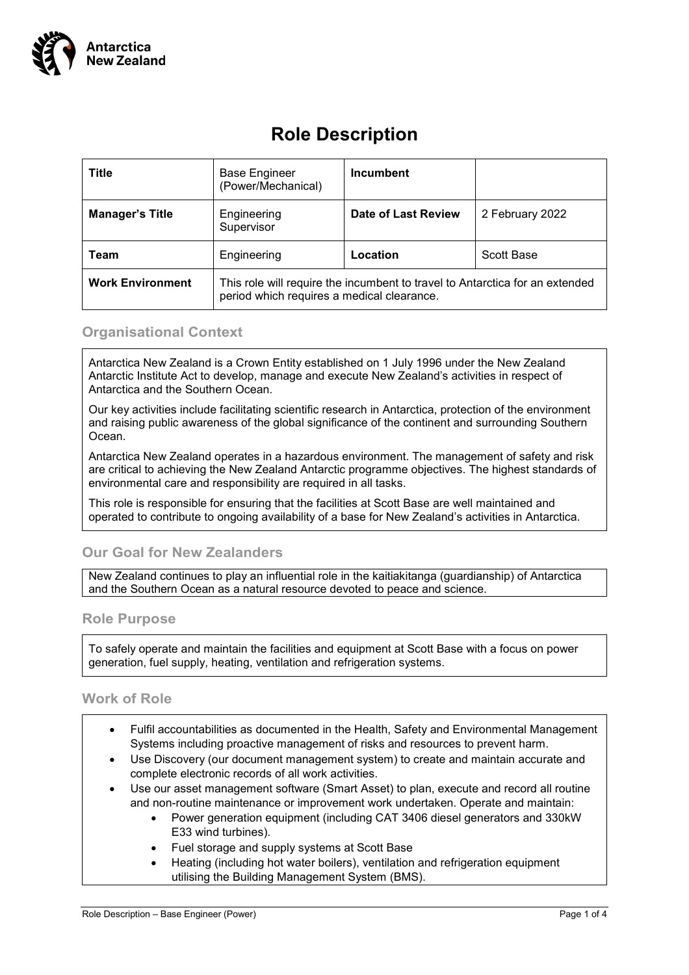

# **Role Description**

| <b>Title</b>            | <b>Base Engineer</b><br>(Power/Mechanical)                                                                                 | <b>Incumbent</b>           |                 |
|-------------------------|----------------------------------------------------------------------------------------------------------------------------|----------------------------|-----------------|
| <b>Manager's Title</b>  | Engineering<br>Supervisor                                                                                                  | <b>Date of Last Review</b> | 2 February 2022 |
| Team                    | Engineering                                                                                                                | Location                   | Scott Base      |
| <b>Work Environment</b> | This role will require the incumbent to travel to Antarctica for an extended<br>period which requires a medical clearance. |                            |                 |

### **Organisational Context**

Antarctica New Zealand is a Crown Entity established on 1 July 1996 under the New Zealand Antarctic Institute Act to develop, manage and execute New Zealand's activities in respect of Antarctica and the Southern Ocean.

Our key activities include facilitating scientific research in Antarctica, protection of the environment and raising public awareness of the global significance of the continent and surrounding Southern Ocean.

Antarctica New Zealand operates in a hazardous environment. The management of safety and risk are critical to achieving the New Zealand Antarctic programme objectives. The highest standards of environmental care and responsibility are required in all tasks.

This role is responsible for ensuring that the facilities at Scott Base are well maintained and operated to contribute to ongoing availability of a base for New Zealand's activities in Antarctica.

## **Our Goal for New Zealanders**

New Zealand continues to play an influential role in the kaitiakitanga (guardianship) of Antarctica and the Southern Ocean as a natural resource devoted to peace and science.

#### **Role Purpose**

To safely operate and maintain the facilities and equipment at Scott Base with a focus on power generation, fuel supply, heating, ventilation and refrigeration systems.

#### **Work of Role**

- Fulfil accountabilities as documented in the Health, Safety and Environmental Management Systems including proactive management of risks and resources to prevent harm.
- Use Discovery (our document management system) to create and maintain accurate and complete electronic records of all work activities.
- Use our asset management software (Smart Asset) to plan, execute and record all routine and non-routine maintenance or improvement work undertaken. Operate and maintain:
	- Power generation equipment (including CAT 3406 diesel generators and 330kW E33 wind turbines).
	- Fuel storage and supply systems at Scott Base
	- Heating (including hot water boilers), ventilation and refrigeration equipment utilising the Building Management System (BMS).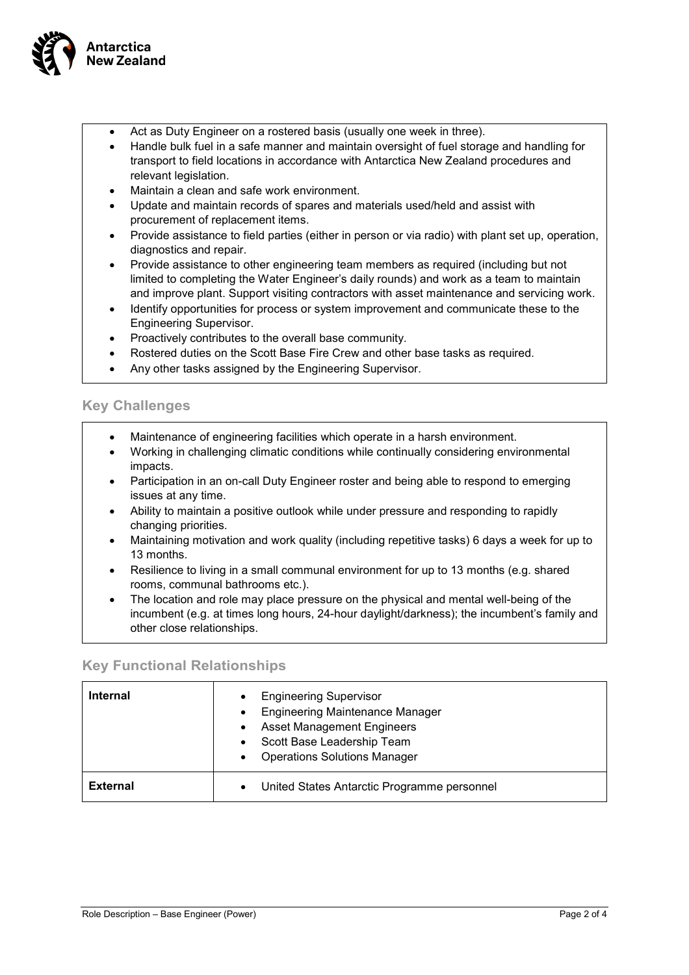

- Act as Duty Engineer on a rostered basis (usually one week in three).
- Handle bulk fuel in a safe manner and maintain oversight of fuel storage and handling for transport to field locations in accordance with Antarctica New Zealand procedures and relevant legislation.
- Maintain a clean and safe work environment.
- Update and maintain records of spares and materials used/held and assist with procurement of replacement items.
- Provide assistance to field parties (either in person or via radio) with plant set up, operation, diagnostics and repair.
- Provide assistance to other engineering team members as required (including but not limited to completing the Water Engineer's daily rounds) and work as a team to maintain and improve plant. Support visiting contractors with asset maintenance and servicing work.
- Identify opportunities for process or system improvement and communicate these to the Engineering Supervisor.
- Proactively contributes to the overall base community.
- Rostered duties on the Scott Base Fire Crew and other base tasks as required.
- Any other tasks assigned by the Engineering Supervisor.

# **Key Challenges**

- Maintenance of engineering facilities which operate in a harsh environment.
- Working in challenging climatic conditions while continually considering environmental impacts.
- Participation in an on-call Duty Engineer roster and being able to respond to emerging issues at any time.
- Ability to maintain a positive outlook while under pressure and responding to rapidly changing priorities.
- Maintaining motivation and work quality (including repetitive tasks) 6 days a week for up to 13 months.
- Resilience to living in a small communal environment for up to 13 months (e.g. shared rooms, communal bathrooms etc.).
- The location and role may place pressure on the physical and mental well-being of the incumbent (e.g. at times long hours, 24-hour daylight/darkness); the incumbent's family and other close relationships.

# **Key Functional Relationships**

| <b>Internal</b> | <b>Engineering Supervisor</b><br><b>Engineering Maintenance Manager</b><br><b>Asset Management Engineers</b><br>Scott Base Leadership Team<br><b>Operations Solutions Manager</b> |
|-----------------|-----------------------------------------------------------------------------------------------------------------------------------------------------------------------------------|
| <b>External</b> | United States Antarctic Programme personnel<br>$\bullet$                                                                                                                          |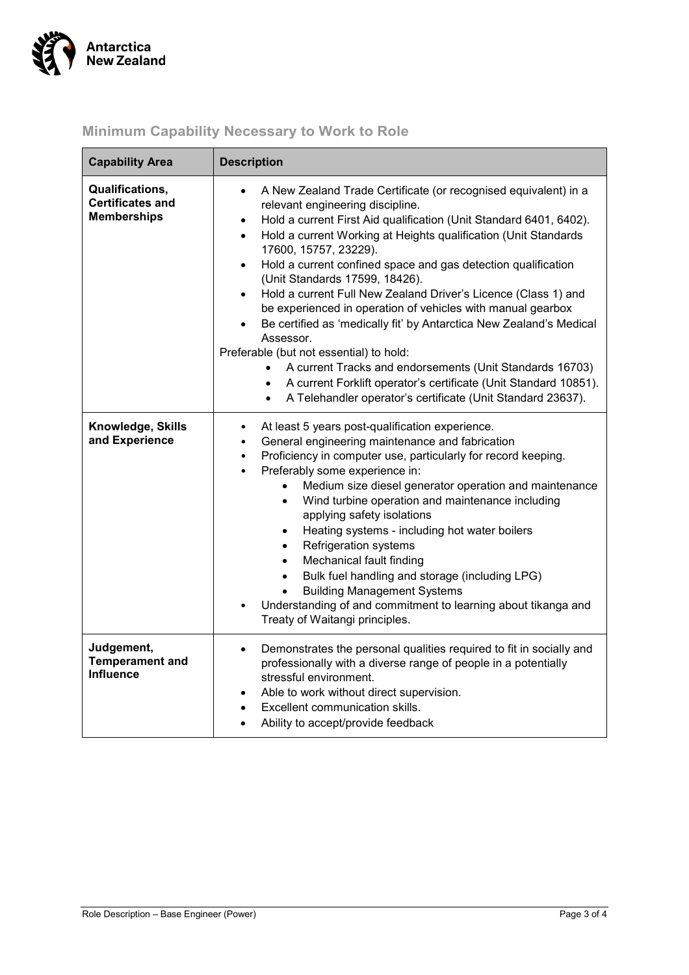

| <b>Capability Area</b>                                           | <b>Description</b>                                                                                                                                                                                                                                                                                                                                                                                                                                                                                                                                                                                                                                                                                                                                                                                                                                                                                                                 |  |  |
|------------------------------------------------------------------|------------------------------------------------------------------------------------------------------------------------------------------------------------------------------------------------------------------------------------------------------------------------------------------------------------------------------------------------------------------------------------------------------------------------------------------------------------------------------------------------------------------------------------------------------------------------------------------------------------------------------------------------------------------------------------------------------------------------------------------------------------------------------------------------------------------------------------------------------------------------------------------------------------------------------------|--|--|
| Qualifications,<br><b>Certificates and</b><br><b>Memberships</b> | A New Zealand Trade Certificate (or recognised equivalent) in a<br>$\bullet$<br>relevant engineering discipline.<br>Hold a current First Aid qualification (Unit Standard 6401, 6402).<br>$\bullet$<br>Hold a current Working at Heights qualification (Unit Standards<br>$\bullet$<br>17600, 15757, 23229).<br>Hold a current confined space and gas detection qualification<br>$\bullet$<br>(Unit Standards 17599, 18426).<br>Hold a current Full New Zealand Driver's Licence (Class 1) and<br>$\bullet$<br>be experienced in operation of vehicles with manual gearbox<br>Be certified as 'medically fit' by Antarctica New Zealand's Medical<br>Assessor.<br>Preferable (but not essential) to hold:<br>A current Tracks and endorsements (Unit Standards 16703)<br>$\bullet$<br>A current Forklift operator's certificate (Unit Standard 10851).<br>A Telehandler operator's certificate (Unit Standard 23637).<br>$\bullet$ |  |  |
| Knowledge, Skills<br>and Experience                              | At least 5 years post-qualification experience.<br>٠<br>General engineering maintenance and fabrication<br>$\bullet$<br>Proficiency in computer use, particularly for record keeping.<br>$\bullet$<br>Preferably some experience in:<br>$\bullet$<br>Medium size diesel generator operation and maintenance<br>$\bullet$<br>Wind turbine operation and maintenance including<br>$\bullet$<br>applying safety isolations<br>Heating systems - including hot water boilers<br>$\bullet$<br><b>Refrigeration systems</b><br>$\bullet$<br>Mechanical fault finding<br>$\bullet$<br>Bulk fuel handling and storage (including LPG)<br>$\bullet$<br><b>Building Management Systems</b><br>Understanding of and commitment to learning about tikanga and<br>Treaty of Waitangi principles.                                                                                                                                                |  |  |
| Judgement,<br><b>Temperament and</b><br><b>Influence</b>         | Demonstrates the personal qualities required to fit in socially and<br>$\bullet$<br>professionally with a diverse range of people in a potentially<br>stressful environment.<br>Able to work without direct supervision.<br>$\bullet$<br>Excellent communication skills.<br>Ability to accept/provide feedback                                                                                                                                                                                                                                                                                                                                                                                                                                                                                                                                                                                                                     |  |  |

# **Minimum Capability Necessary to Work to Role**